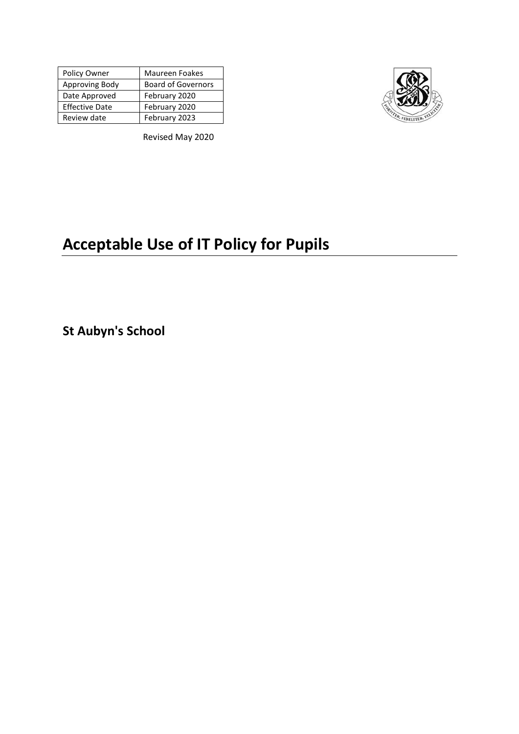| Policy Owner          | <b>Maureen Foakes</b>     |
|-----------------------|---------------------------|
| Approving Body        | <b>Board of Governors</b> |
| Date Approved         | February 2020             |
| <b>Effective Date</b> | February 2020             |
| Review date           | February 2023             |



Revised May 2020

# **Acceptable Use of IT Policy for Pupils**

**St Aubyn's School**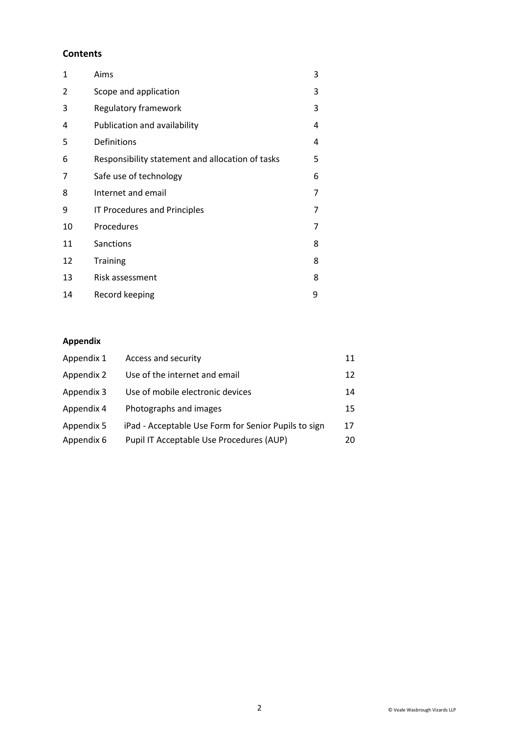## **Contents**

| 1  | Aims                                             | 3 |
|----|--------------------------------------------------|---|
| 2  | Scope and application                            | 3 |
| 3  | Regulatory framework                             | 3 |
| 4  | Publication and availability                     | 4 |
| 5  | Definitions                                      | 4 |
| 6  | Responsibility statement and allocation of tasks | 5 |
| 7  | Safe use of technology                           | 6 |
| 8  | Internet and email                               | 7 |
| 9  | IT Procedures and Principles                     | 7 |
| 10 | Procedures                                       | 7 |
| 11 | Sanctions                                        | 8 |
| 12 | <b>Training</b>                                  | 8 |
| 13 | Risk assessment                                  | 8 |
| 14 | Record keeping                                   | 9 |

# **Appendix**

| Appendix 1 | Access and security                                  | 11 |
|------------|------------------------------------------------------|----|
| Appendix 2 | Use of the internet and email                        | 12 |
| Appendix 3 | Use of mobile electronic devices                     | 14 |
| Appendix 4 | Photographs and images                               | 15 |
| Appendix 5 | iPad - Acceptable Use Form for Senior Pupils to sign | 17 |
| Appendix 6 | Pupil IT Acceptable Use Procedures (AUP)             | 20 |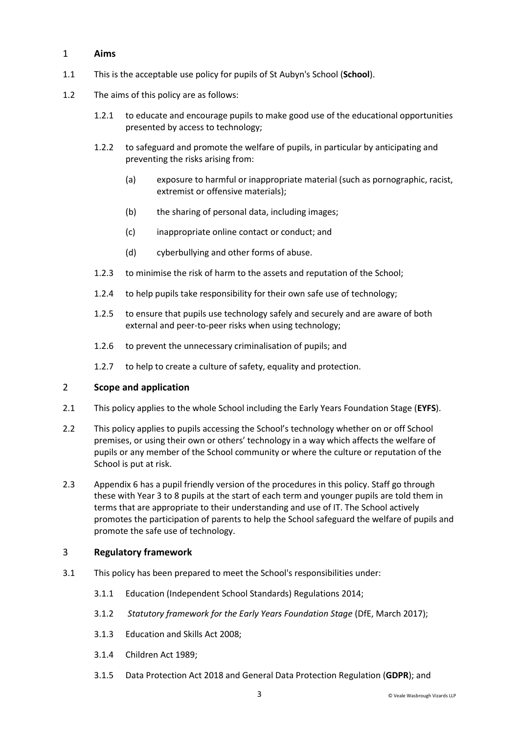## 1 **Aims**

- 1.1 This is the acceptable use policy for pupils of St Aubyn's School (**School**).
- 1.2 The aims of this policy are as follows:
	- 1.2.1 to educate and encourage pupils to make good use of the educational opportunities presented by access to technology;
	- 1.2.2 to safeguard and promote the welfare of pupils, in particular by anticipating and preventing the risks arising from:
		- (a) exposure to harmful or inappropriate material (such as pornographic, racist, extremist or offensive materials);
		- (b) the sharing of personal data, including images;
		- (c) inappropriate online contact or conduct; and
		- (d) cyberbullying and other forms of abuse.
	- 1.2.3 to minimise the risk of harm to the assets and reputation of the School;
	- 1.2.4 to help pupils take responsibility for their own safe use of technology;
	- 1.2.5 to ensure that pupils use technology safely and securely and are aware of both external and peer-to-peer risks when using technology;
	- 1.2.6 to prevent the unnecessary criminalisation of pupils; and
	- 1.2.7 to help to create a culture of safety, equality and protection.

#### 2 **Scope and application**

- 2.1 This policy applies to the whole School including the Early Years Foundation Stage (**EYFS**).
- 2.2 This policy applies to pupils accessing the School's technology whether on or off School premises, or using their own or others' technology in a way which affects the welfare of pupils or any member of the School community or where the culture or reputation of the School is put at risk.
- 2.3 Appendix 6 has a pupil friendly version of the procedures in this policy. Staff go through these with Year 3 to 8 pupils at the start of each term and younger pupils are told them in terms that are appropriate to their understanding and use of IT. The School actively promotes the participation of parents to help the School safeguard the welfare of pupils and promote the safe use of technology.

#### 3 **Regulatory framework**

- 3.1 This policy has been prepared to meet the School's responsibilities under:
	- 3.1.1 Education (Independent School Standards) Regulations 2014;
	- 3.1.2 *Statutory framework for the Early Years Foundation Stage* (DfE, March 2017);
	- 3.1.3 Education and Skills Act 2008;
	- 3.1.4 Children Act 1989;
	- 3.1.5 Data Protection Act 2018 and General Data Protection Regulation (**GDPR**); and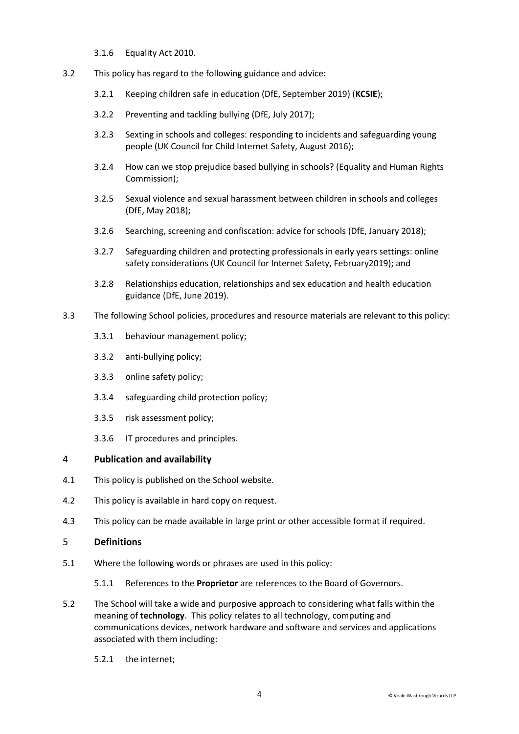- 3.1.6 Equality Act 2010.
- 3.2 This policy has regard to the following guidance and advice:
	- 3.2.1 [Keeping children safe in education \(](https://www.gov.uk/government/publications/keeping-children-safe-in-education--2)DfE, September 2019) (**KCSIE**);
	- 3.2.2 [Preventing and tackling bullying \(](https://www.gov.uk/government/uploads/system/uploads/attachment_data/file/623895/Preventing_and_tackling_bullying_advice.pdf)DfE, July 2017);
	- 3.2.3 [Sexting in schools and colleges: responding to incidents and safeguarding young](https://www.gov.uk/government/uploads/system/uploads/attachment_data/file/609874/6_2939_SP_NCA_Sexting_In_Schools_FINAL_Update_Jan17.pdf)  [people](https://www.gov.uk/government/uploads/system/uploads/attachment_data/file/609874/6_2939_SP_NCA_Sexting_In_Schools_FINAL_Update_Jan17.pdf) (UK Council for Child Internet Safety, August 2016);
	- 3.2.4 [How can we stop prejudice based bullying in schools?](https://www.equalityhumanrights.com/en/advice-and-guidance/how-can-we-stop-prejudice-based-bullying-schools) (Equality and Human Rights Commission);
	- 3.2.5 [Sexual violence and sexual harassment between children in schools and colleges](https://www.gov.uk/government/uploads/system/uploads/attachment_data/file/667862/Sexual_Harassment_and_Sexual_Violence_-_Advice.pdf) (DfE, May 2018);
	- 3.2.6 [Searching, screening and confiscation: advice for schools](https://assets.publishing.service.gov.uk/government/uploads/system/uploads/attachment_data/file/674416/Searching_screening_and_confiscation.pdf) (DfE, January 2018);
	- 3.2.7 [Safeguarding children and protecting professionals in early years settings: online](https://www.gov.uk/government/publications/safeguarding-children-and-protecting-professionals-in-early-years-settings-online-safety-considerations)  [safety considerations \(](https://www.gov.uk/government/publications/safeguarding-children-and-protecting-professionals-in-early-years-settings-online-safety-considerations)UK Council for Internet Safety, February2019); and
	- 3.2.8 [Relationships education, relationships and sex education and health education](https://assets.publishing.service.gov.uk/government/uploads/system/uploads/attachment_data/file/805781/Relationships_Education__Relationships_and_Sex_Education__RSE__and_Health_Education.pdf)  [guidance](https://assets.publishing.service.gov.uk/government/uploads/system/uploads/attachment_data/file/805781/Relationships_Education__Relationships_and_Sex_Education__RSE__and_Health_Education.pdf) (DfE, June 2019).
- 3.3 The following School policies, procedures and resource materials are relevant to this policy:
	- 3.3.1 behaviour management policy;
	- 3.3.2 anti-bullying policy;
	- 3.3.3 online safety policy;
	- 3.3.4 safeguarding child protection policy;
	- 3.3.5 risk assessment policy;
	- 3.3.6 IT procedures and principles.

#### 4 **Publication and availability**

- 4.1 This policy is published on the School website.
- 4.2 This policy is available in hard copy on request.
- 4.3 This policy can be made available in large print or other accessible format if required.

## 5 **Definitions**

- 5.1 Where the following words or phrases are used in this policy:
	- 5.1.1 References to the **Proprietor** are references to the Board of Governors.
- 5.2 The School will take a wide and purposive approach to considering what falls within the meaning of **technology**. This policy relates to all technology, computing and communications devices, network hardware and software and services and applications associated with them including:
	- 5.2.1 the internet;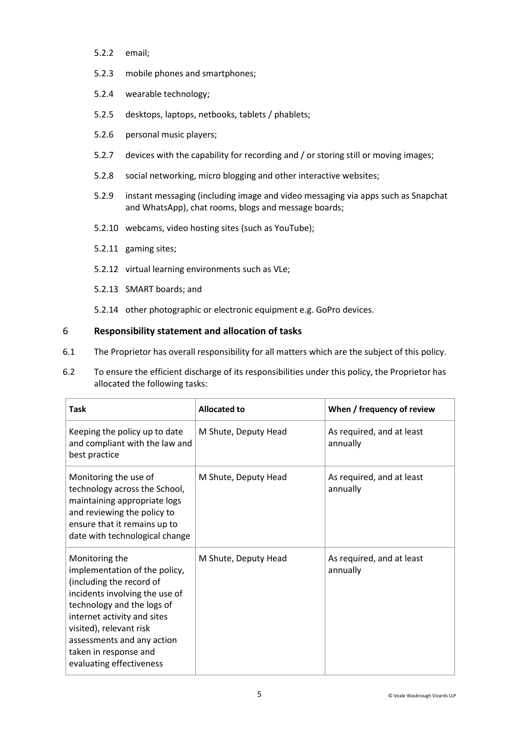- 5.2.2 email;
- 5.2.3 mobile phones and smartphones;
- 5.2.4 wearable technology;
- 5.2.5 desktops, laptops, netbooks, tablets / phablets;
- 5.2.6 personal music players;
- 5.2.7 devices with the capability for recording and / or storing still or moving images;
- 5.2.8 social networking, micro blogging and other interactive websites;
- 5.2.9 instant messaging (including image and video messaging via apps such as Snapchat and WhatsApp), chat rooms, blogs and message boards;
- 5.2.10 webcams, video hosting sites (such as YouTube);
- 5.2.11 gaming sites;
- 5.2.12 virtual learning environments such as VLe;
- 5.2.13 SMART boards; and
- 5.2.14 other photographic or electronic equipment e.g. GoPro devices.

## 6 **Responsibility statement and allocation of tasks**

- 6.1 The Proprietor has overall responsibility for all matters which are the subject of this policy.
- 6.2 To ensure the efficient discharge of its responsibilities under this policy, the Proprietor has allocated the following tasks:

| <b>Task</b>                                                                                                                                                                                                                                                                              | Allocated to         | When / frequency of review            |
|------------------------------------------------------------------------------------------------------------------------------------------------------------------------------------------------------------------------------------------------------------------------------------------|----------------------|---------------------------------------|
| Keeping the policy up to date<br>and compliant with the law and<br>best practice                                                                                                                                                                                                         | M Shute, Deputy Head | As required, and at least<br>annually |
| Monitoring the use of<br>technology across the School,<br>maintaining appropriate logs<br>and reviewing the policy to<br>ensure that it remains up to<br>date with technological change                                                                                                  | M Shute, Deputy Head | As required, and at least<br>annually |
| Monitoring the<br>implementation of the policy,<br>(including the record of<br>incidents involving the use of<br>technology and the logs of<br>internet activity and sites<br>visited), relevant risk<br>assessments and any action<br>taken in response and<br>evaluating effectiveness | M Shute, Deputy Head | As required, and at least<br>annually |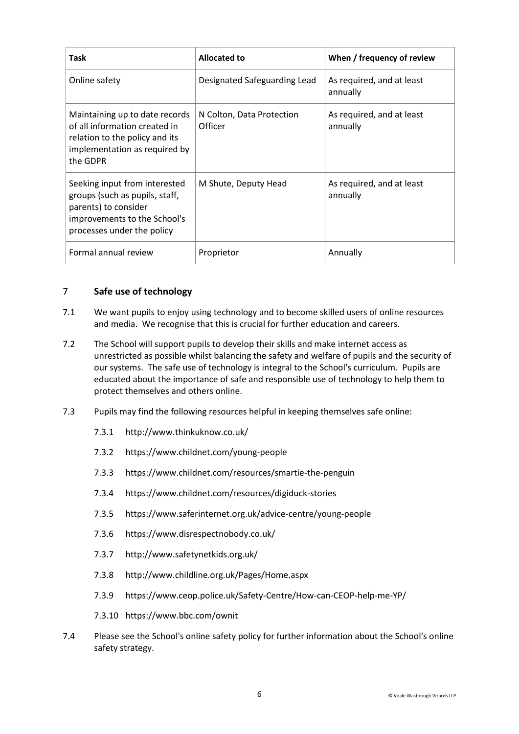| Task                                                                                                                                                  | Allocated to                         | When / frequency of review            |
|-------------------------------------------------------------------------------------------------------------------------------------------------------|--------------------------------------|---------------------------------------|
| Online safety                                                                                                                                         | Designated Safeguarding Lead         | As required, and at least<br>annually |
| Maintaining up to date records<br>of all information created in<br>relation to the policy and its<br>implementation as required by<br>the GDPR        | N Colton, Data Protection<br>Officer | As required, and at least<br>annually |
| Seeking input from interested<br>groups (such as pupils, staff,<br>parents) to consider<br>improvements to the School's<br>processes under the policy | M Shute, Deputy Head                 | As required, and at least<br>annually |
| Formal annual review                                                                                                                                  | Proprietor                           | Annually                              |

## 7 **Safe use of technology**

- 7.1 We want pupils to enjoy using technology and to become skilled users of online resources and media. We recognise that this is crucial for further education and careers.
- 7.2 The School will support pupils to develop their skills and make internet access as unrestricted as possible whilst balancing the safety and welfare of pupils and the security of our systems. The safe use of technology is integral to the School's curriculum. Pupils are educated about the importance of safe and responsible use of technology to help them to protect themselves and others online.
- 7.3 Pupils may find the following resources helpful in keeping themselves safe online:
	- 7.3.1 <http://www.thinkuknow.co.uk/>
	- 7.3.2 <https://www.childnet.com/young-people>
	- 7.3.3 <https://www.childnet.com/resources/smartie-the-penguin>
	- 7.3.4 <https://www.childnet.com/resources/digiduck-stories>
	- 7.3.5 <https://www.saferinternet.org.uk/advice-centre/young-people>
	- 7.3.6 <https://www.disrespectnobody.co.uk/>
	- 7.3.7 <http://www.safetynetkids.org.uk/>
	- 7.3.8 <http://www.childline.org.uk/Pages/Home.aspx>
	- 7.3.9 <https://www.ceop.police.uk/Safety-Centre/How-can-CEOP-help-me-YP/>
	- 7.3.10 <https://www.bbc.com/ownit>
- 7.4 Please see the School's online safety policy for further information about the School's online safety strategy.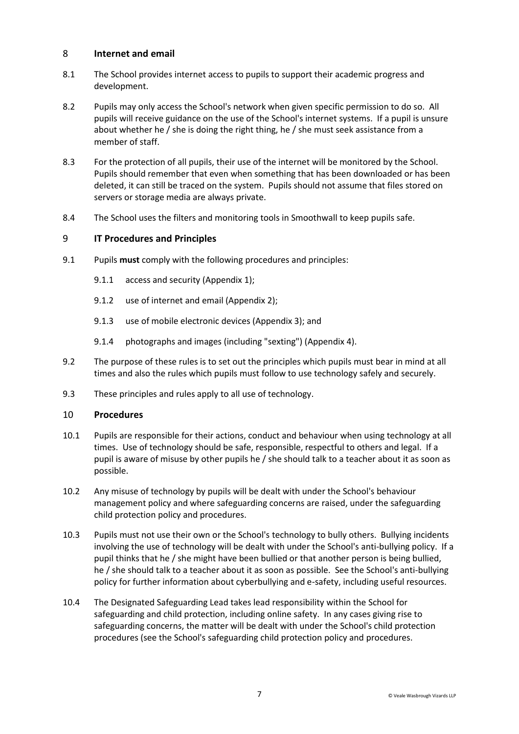## 8 **Internet and email**

- 8.1 The School provides internet access to pupils to support their academic progress and development.
- 8.2 Pupils may only access the School's network when given specific permission to do so. All pupils will receive guidance on the use of the School's internet systems. If a pupil is unsure about whether he / she is doing the right thing, he / she must seek assistance from a member of staff.
- 8.3 For the protection of all pupils, their use of the internet will be monitored by the School. Pupils should remember that even when something that has been downloaded or has been deleted, it can still be traced on the system. Pupils should not assume that files stored on servers or storage media are always private.
- 8.4 The School uses the filters and monitoring tools in Smoothwall to keep pupils safe.

#### 9 **IT Procedures and Principles**

- 9.1 Pupils **must** comply with the following procedures and principles:
	- 9.1.1 access and security (Appendix 1);
	- 9.1.2 use of internet and email (Appendix 2);
	- 9.1.3 use of mobile electronic devices (Appendix 3); and
	- 9.1.4 photographs and images (including "sexting") (Appendix 4).
- 9.2 The purpose of these rules is to set out the principles which pupils must bear in mind at all times and also the rules which pupils must follow to use technology safely and securely.
- 9.3 These principles and rules apply to all use of technology.

#### 10 **Procedures**

- 10.1 Pupils are responsible for their actions, conduct and behaviour when using technology at all times. Use of technology should be safe, responsible, respectful to others and legal. If a pupil is aware of misuse by other pupils he / she should talk to a teacher about it as soon as possible.
- 10.2 Any misuse of technology by pupils will be dealt with under the School's behaviour management policy and where safeguarding concerns are raised, under the safeguarding child protection policy and procedures.
- 10.3 Pupils must not use their own or the School's technology to bully others. Bullying incidents involving the use of technology will be dealt with under the School's anti-bullying policy. If a pupil thinks that he / she might have been bullied or that another person is being bullied, he / she should talk to a teacher about it as soon as possible. See the School's anti-bullying policy for further information about cyberbullying and e-safety, including useful resources.
- 10.4 The Designated Safeguarding Lead takes lead responsibility within the School for safeguarding and child protection, including online safety. In any cases giving rise to safeguarding concerns, the matter will be dealt with under the School's child protection procedures (see the School's safeguarding child protection policy and procedures.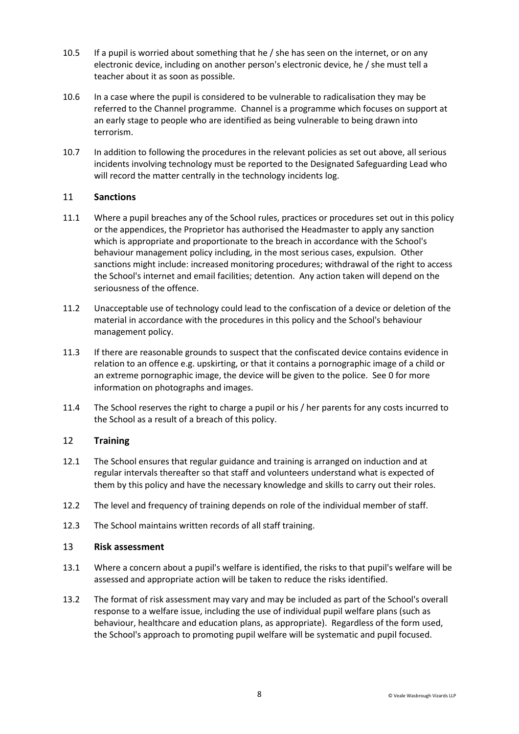- 10.5 If a pupil is worried about something that he / she has seen on the internet, or on any electronic device, including on another person's electronic device, he / she must tell a teacher about it as soon as possible.
- 10.6 In a case where the pupil is considered to be vulnerable to radicalisation they may be referred to the Channel programme. Channel is a programme which focuses on support at an early stage to people who are identified as being vulnerable to being drawn into terrorism.
- 10.7 In addition to following the procedures in the relevant policies as set out above, all serious incidents involving technology must be reported to the Designated Safeguarding Lead who will record the matter centrally in the technology incidents log.

## 11 **Sanctions**

- 11.1 Where a pupil breaches any of the School rules, practices or procedures set out in this policy or the appendices, the Proprietor has authorised the Headmaster to apply any sanction which is appropriate and proportionate to the breach in accordance with the School's behaviour management policy including, in the most serious cases, expulsion. Other sanctions might include: increased monitoring procedures; withdrawal of the right to access the School's internet and email facilities; detention. Any action taken will depend on the seriousness of the offence.
- 11.2 Unacceptable use of technology could lead to the confiscation of a device or deletion of the material in accordance with the procedures in this policy and the School's behaviour management policy.
- <span id="page-7-0"></span>11.3 If there are reasonable grounds to suspect that the confiscated device contains evidence in relation to an offence e.g. upskirting, or that it contains a pornographic image of a child or an extreme pornographic image, the device will be given to the police. Se[e 0](#page-14-0) for more information on photographs and images.
- 11.4 The School reserves the right to charge a pupil or his / her parents for any costs incurred to the School as a result of a breach of this policy.

#### 12 **Training**

- 12.1 The School ensures that regular guidance and training is arranged on induction and at regular intervals thereafter so that staff and volunteers understand what is expected of them by this policy and have the necessary knowledge and skills to carry out their roles.
- 12.2 The level and frequency of training depends on role of the individual member of staff.
- 12.3 The School maintains written records of all staff training.

#### 13 **Risk assessment**

- 13.1 Where a concern about a pupil's welfare is identified, the risks to that pupil's welfare will be assessed and appropriate action will be taken to reduce the risks identified.
- 13.2 The format of risk assessment may vary and may be included as part of the School's overall response to a welfare issue, including the use of individual pupil welfare plans (such as behaviour, healthcare and education plans, as appropriate). Regardless of the form used, the School's approach to promoting pupil welfare will be systematic and pupil focused.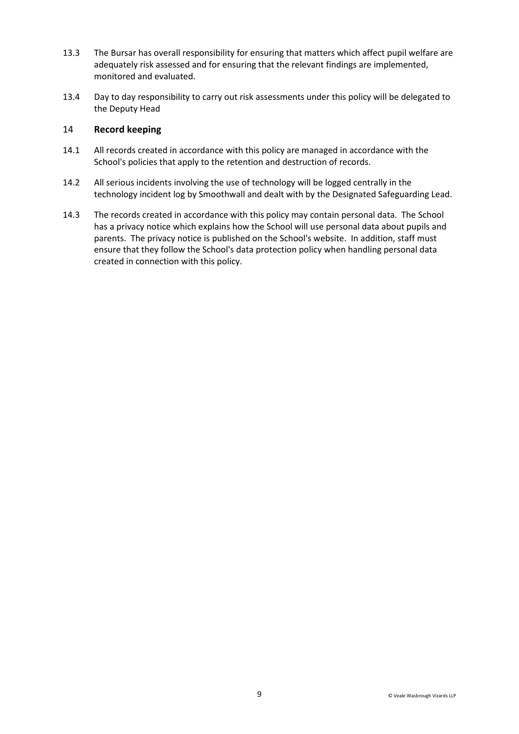- 13.3 The Bursar has overall responsibility for ensuring that matters which affect pupil welfare are adequately risk assessed and for ensuring that the relevant findings are implemented, monitored and evaluated.
- 13.4 Day to day responsibility to carry out risk assessments under this policy will be delegated to the Deputy Head

## 14 **Record keeping**

- 14.1 All records created in accordance with this policy are managed in accordance with the School's policies that apply to the retention and destruction of records.
- 14.2 All serious incidents involving the use of technology will be logged centrally in the technology incident log by Smoothwall and dealt with by the Designated Safeguarding Lead.
- 14.3 The records created in accordance with this policy may contain personal data. The School has a privacy notice which explains how the School will use personal data about pupils and parents. The privacy notice is published on the School's website. In addition, staff must ensure that they follow the School's data protection policy when handling personal data created in connection with this policy.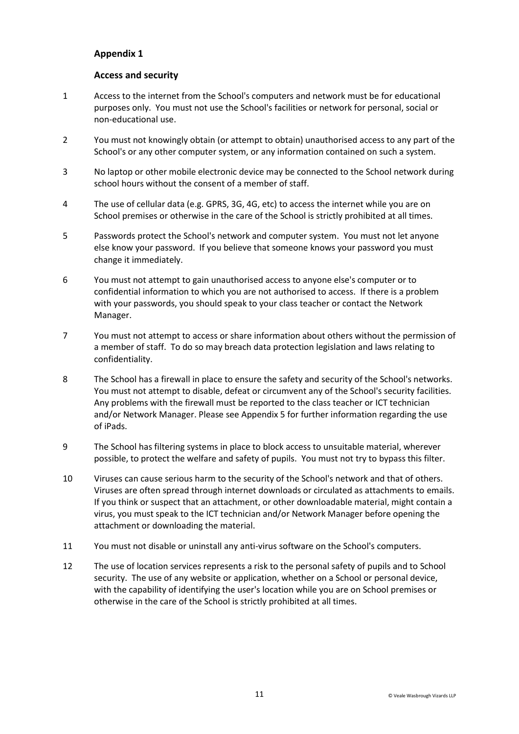## **Access and security**

- 1 Access to the internet from the School's computers and network must be for educational purposes only. You must not use the School's facilities or network for personal, social or non-educational use.
- 2 You must not knowingly obtain (or attempt to obtain) unauthorised access to any part of the School's or any other computer system, or any information contained on such a system.
- 3 No laptop or other mobile electronic device may be connected to the School network during school hours without the consent of a member of staff.
- 4 The use of cellular data (e.g. GPRS, 3G, 4G, etc) to access the internet while you are on School premises or otherwise in the care of the School is strictly prohibited at all times.
- 5 Passwords protect the School's network and computer system. You must not let anyone else know your password. If you believe that someone knows your password you must change it immediately.
- 6 You must not attempt to gain unauthorised access to anyone else's computer or to confidential information to which you are not authorised to access. If there is a problem with your passwords, you should speak to your class teacher or contact the Network Manager.
- 7 You must not attempt to access or share information about others without the permission of a member of staff. To do so may breach data protection legislation and laws relating to confidentiality.
- 8 The School has a firewall in place to ensure the safety and security of the School's networks. You must not attempt to disable, defeat or circumvent any of the School's security facilities. Any problems with the firewall must be reported to the class teacher or ICT technician and/or Network Manager. Please see Appendix 5 for further information regarding the use of iPads.
- 9 The School has filtering systems in place to block access to unsuitable material, wherever possible, to protect the welfare and safety of pupils. You must not try to bypass this filter.
- 10 Viruses can cause serious harm to the security of the School's network and that of others. Viruses are often spread through internet downloads or circulated as attachments to emails. If you think or suspect that an attachment, or other downloadable material, might contain a virus, you must speak to the ICT technician and/or Network Manager before opening the attachment or downloading the material.
- 11 You must not disable or uninstall any anti-virus software on the School's computers.
- 12 The use of location services represents a risk to the personal safety of pupils and to School security. The use of any website or application, whether on a School or personal device, with the capability of identifying the user's location while you are on School premises or otherwise in the care of the School is strictly prohibited at all times.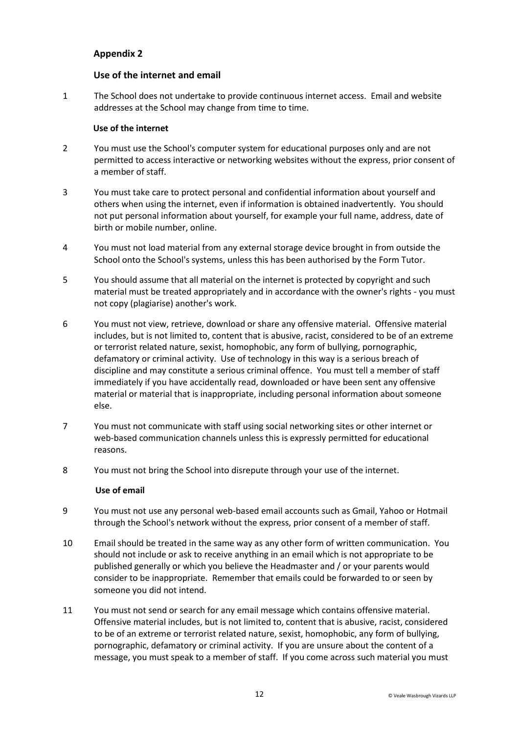## **Use of the internet and email**

1 The School does not undertake to provide continuous internet access. Email and website addresses at the School may change from time to time.

#### **Use of the internet**

- 2 You must use the School's computer system for educational purposes only and are not permitted to access interactive or networking websites without the express, prior consent of a member of staff.
- 3 You must take care to protect personal and confidential information about yourself and others when using the internet, even if information is obtained inadvertently. You should not put personal information about yourself, for example your full name, address, date of birth or mobile number, online.
- 4 You must not load material from any external storage device brought in from outside the School onto the School's systems, unless this has been authorised by the Form Tutor.
- 5 You should assume that all material on the internet is protected by copyright and such material must be treated appropriately and in accordance with the owner's rights - you must not copy (plagiarise) another's work.
- 6 You must not view, retrieve, download or share any offensive material. Offensive material includes, but is not limited to, content that is abusive, racist, considered to be of an extreme or terrorist related nature, sexist, homophobic, any form of bullying, pornographic, defamatory or criminal activity. Use of technology in this way is a serious breach of discipline and may constitute a serious criminal offence. You must tell a member of staff immediately if you have accidentally read, downloaded or have been sent any offensive material or material that is inappropriate, including personal information about someone else.
- 7 You must not communicate with staff using social networking sites or other internet or web-based communication channels unless this is expressly permitted for educational reasons.
- 8 You must not bring the School into disrepute through your use of the internet.

#### **Use of email**

- 9 You must not use any personal web-based email accounts such as Gmail, Yahoo or Hotmail through the School's network without the express, prior consent of a member of staff.
- 10 Email should be treated in the same way as any other form of written communication. You should not include or ask to receive anything in an email which is not appropriate to be published generally or which you believe the Headmaster and / or your parents would consider to be inappropriate. Remember that emails could be forwarded to or seen by someone you did not intend.
- 11 You must not send or search for any email message which contains offensive material. Offensive material includes, but is not limited to, content that is abusive, racist, considered to be of an extreme or terrorist related nature, sexist, homophobic, any form of bullying, pornographic, defamatory or criminal activity. If you are unsure about the content of a message, you must speak to a member of staff. If you come across such material you must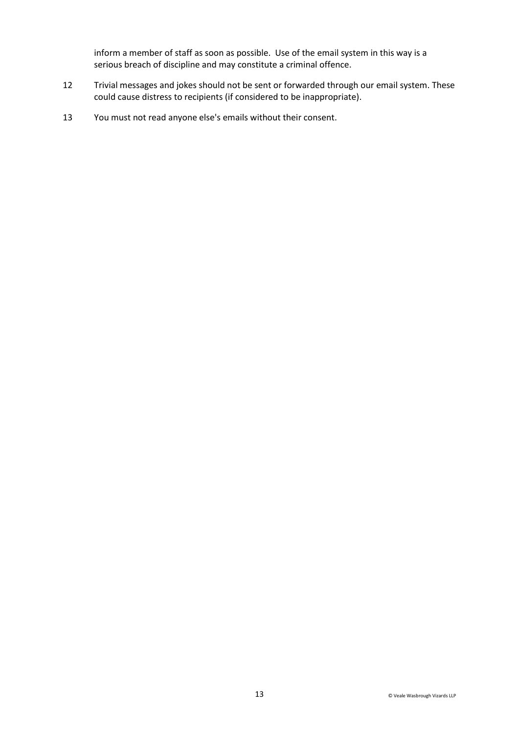inform a member of staff as soon as possible. Use of the email system in this way is a serious breach of discipline and may constitute a criminal offence.

- 12 Trivial messages and jokes should not be sent or forwarded through our email system. These could cause distress to recipients (if considered to be inappropriate).
- 13 You must not read anyone else's emails without their consent.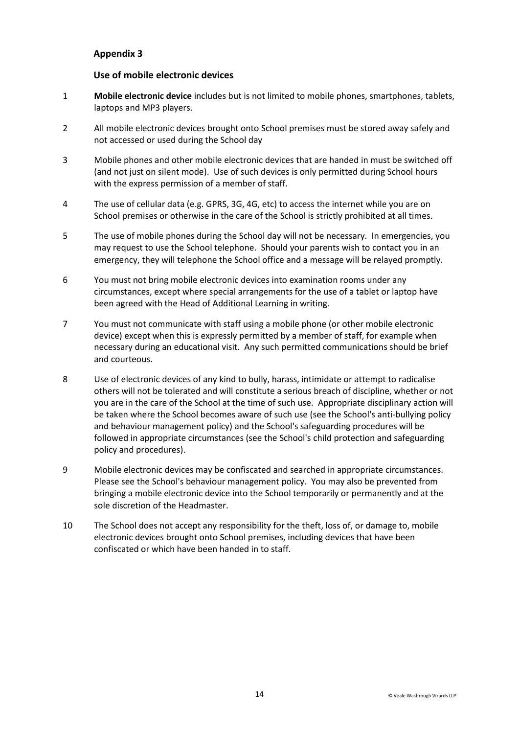## **Use of mobile electronic devices**

- 1 **Mobile electronic device** includes but is not limited to mobile phones, smartphones, tablets, laptops and MP3 players.
- 2 All mobile electronic devices brought onto School premises must be stored away safely and not accessed or used during the School day
- 3 Mobile phones and other mobile electronic devices that are handed in must be switched off (and not just on silent mode). Use of such devices is only permitted during School hours with the express permission of a member of staff.
- 4 The use of cellular data (e.g. GPRS, 3G, 4G, etc) to access the internet while you are on School premises or otherwise in the care of the School is strictly prohibited at all times.
- 5 The use of mobile phones during the School day will not be necessary. In emergencies, you may request to use the School telephone. Should your parents wish to contact you in an emergency, they will telephone the School office and a message will be relayed promptly.
- 6 You must not bring mobile electronic devices into examination rooms under any circumstances, except where special arrangements for the use of a tablet or laptop have been agreed with the Head of Additional Learning in writing.
- 7 You must not communicate with staff using a mobile phone (or other mobile electronic device) except when this is expressly permitted by a member of staff, for example when necessary during an educational visit. Any such permitted communications should be brief and courteous.
- 8 Use of electronic devices of any kind to bully, harass, intimidate or attempt to radicalise others will not be tolerated and will constitute a serious breach of discipline, whether or not you are in the care of the School at the time of such use. Appropriate disciplinary action will be taken where the School becomes aware of such use (see the School's anti-bullying policy and behaviour management policy) and the School's safeguarding procedures will be followed in appropriate circumstances (see the School's child protection and safeguarding policy and procedures).
- 9 Mobile electronic devices may be confiscated and searched in appropriate circumstances. Please see the School's behaviour management policy. You may also be prevented from bringing a mobile electronic device into the School temporarily or permanently and at the sole discretion of the Headmaster.
- 10 The School does not accept any responsibility for the theft, loss of, or damage to, mobile electronic devices brought onto School premises, including devices that have been confiscated or which have been handed in to staff.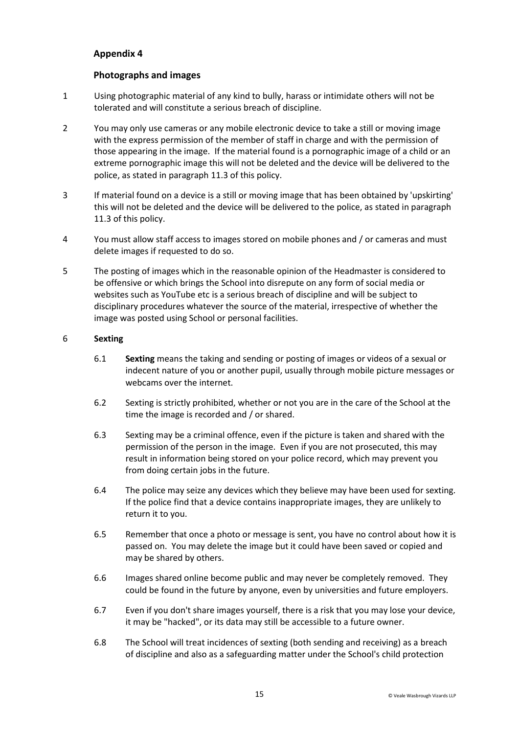## <span id="page-14-0"></span>**Photographs and images**

- 1 Using photographic material of any kind to bully, harass or intimidate others will not be tolerated and will constitute a serious breach of discipline.
- 2 You may only use cameras or any mobile electronic device to take a still or moving image with the express permission of the member of staff in charge and with the permission of those appearing in the image. If the material found is a pornographic image of a child or an extreme pornographic image this will not be deleted and the device will be delivered to the police, as stated in paragraph [11.3](#page-7-0) of this policy.
- 3 If material found on a device is a still or moving image that has been obtained by 'upskirting' this will not be deleted and the device will be delivered to the police, as stated in paragraph [11.3](#page-7-0) of this policy.
- 4 You must allow staff access to images stored on mobile phones and / or cameras and must delete images if requested to do so.
- 5 The posting of images which in the reasonable opinion of the Headmaster is considered to be offensive or which brings the School into disrepute on any form of social media or websites such as YouTube etc is a serious breach of discipline and will be subject to disciplinary procedures whatever the source of the material, irrespective of whether the image was posted using School or personal facilities.

#### 6 **Sexting**

- 6.1 **Sexting** means the taking and sending or posting of images or videos of a sexual or indecent nature of you or another pupil, usually through mobile picture messages or webcams over the internet.
- 6.2 Sexting is strictly prohibited, whether or not you are in the care of the School at the time the image is recorded and / or shared.
- 6.3 Sexting may be a criminal offence, even if the picture is taken and shared with the permission of the person in the image. Even if you are not prosecuted, this may result in information being stored on your police record, which may prevent you from doing certain jobs in the future.
- 6.4 The police may seize any devices which they believe may have been used for sexting. If the police find that a device contains inappropriate images, they are unlikely to return it to you.
- 6.5 Remember that once a photo or message is sent, you have no control about how it is passed on. You may delete the image but it could have been saved or copied and may be shared by others.
- 6.6 Images shared online become public and may never be completely removed. They could be found in the future by anyone, even by universities and future employers.
- 6.7 Even if you don't share images yourself, there is a risk that you may lose your device, it may be "hacked", or its data may still be accessible to a future owner.
- 6.8 The School will treat incidences of sexting (both sending and receiving) as a breach of discipline and also as a safeguarding matter under the School's child protection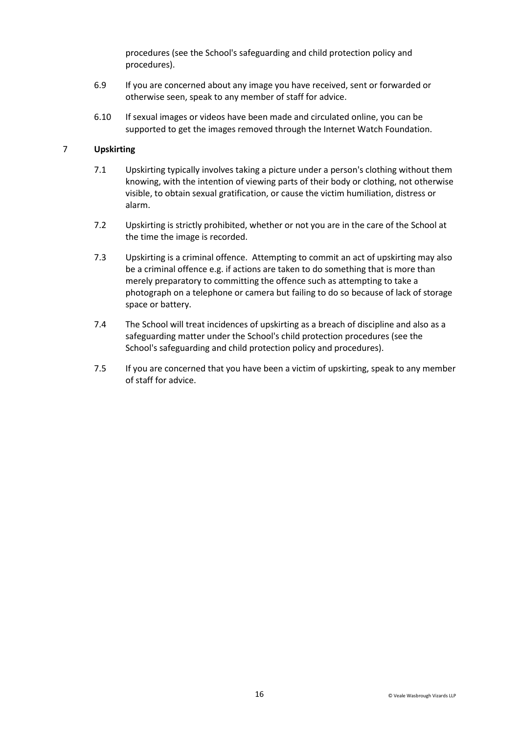procedures (see the School's safeguarding and child protection policy and procedures).

- 6.9 If you are concerned about any image you have received, sent or forwarded or otherwise seen, speak to any member of staff for advice.
- 6.10 If sexual images or videos have been made and circulated online, you can be supported to get the images removed through the Internet Watch Foundation.

## 7 **Upskirting**

- 7.1 Upskirting typically involves taking a picture under a person's clothing without them knowing, with the intention of viewing parts of their body or clothing, not otherwise visible, to obtain sexual gratification, or cause the victim humiliation, distress or alarm.
- 7.2 Upskirting is strictly prohibited, whether or not you are in the care of the School at the time the image is recorded.
- 7.3 Upskirting is a criminal offence. Attempting to commit an act of upskirting may also be a criminal offence e.g. if actions are taken to do something that is more than merely preparatory to committing the offence such as attempting to take a photograph on a telephone or camera but failing to do so because of lack of storage space or battery.
- 7.4 The School will treat incidences of upskirting as a breach of discipline and also as a safeguarding matter under the School's child protection procedures (see the School's safeguarding and child protection policy and procedures).
- 7.5 If you are concerned that you have been a victim of upskirting, speak to any member of staff for advice.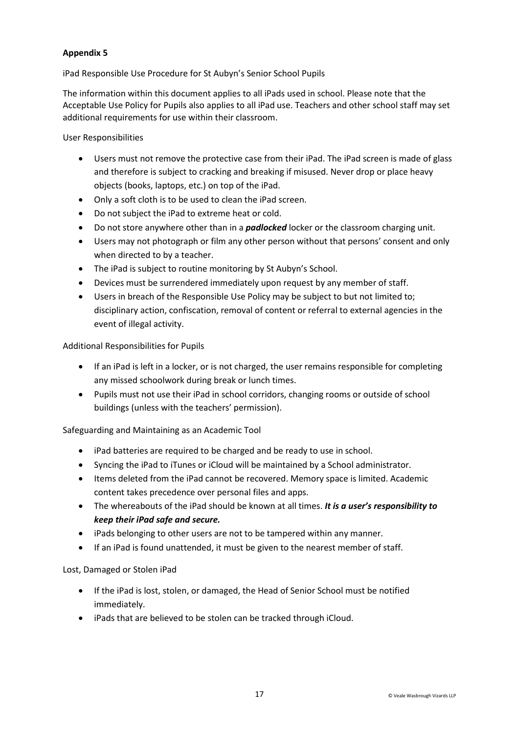iPad Responsible Use Procedure for St Aubyn's Senior School Pupils

The information within this document applies to all iPads used in school. Please note that the Acceptable Use Policy for Pupils also applies to all iPad use. Teachers and other school staff may set additional requirements for use within their classroom.

## User Responsibilities

- Users must not remove the protective case from their iPad. The iPad screen is made of glass and therefore is subject to cracking and breaking if misused. Never drop or place heavy objects (books, laptops, etc.) on top of the iPad.
- Only a soft cloth is to be used to clean the iPad screen.
- Do not subject the iPad to extreme heat or cold.
- Do not store anywhere other than in a *padlocked* locker or the classroom charging unit.
- Users may not photograph or film any other person without that persons' consent and only when directed to by a teacher.
- The iPad is subject to routine monitoring by St Aubyn's School.
- Devices must be surrendered immediately upon request by any member of staff.
- Users in breach of the Responsible Use Policy may be subject to but not limited to; disciplinary action, confiscation, removal of content or referral to external agencies in the event of illegal activity.

## Additional Responsibilities for Pupils

- If an iPad is left in a locker, or is not charged, the user remains responsible for completing any missed schoolwork during break or lunch times.
- Pupils must not use their iPad in school corridors, changing rooms or outside of school buildings (unless with the teachers' permission).

Safeguarding and Maintaining as an Academic Tool

- iPad batteries are required to be charged and be ready to use in school.
- Syncing the iPad to iTunes or iCloud will be maintained by a School administrator.
- Items deleted from the iPad cannot be recovered. Memory space is limited. Academic content takes precedence over personal files and apps.
- The whereabouts of the iPad should be known at all times. *It is a user's responsibility to keep their iPad safe and secure.*
- iPads belonging to other users are not to be tampered within any manner.
- If an iPad is found unattended, it must be given to the nearest member of staff.

Lost, Damaged or Stolen iPad

- If the iPad is lost, stolen, or damaged, the Head of Senior School must be notified immediately.
- iPads that are believed to be stolen can be tracked through iCloud.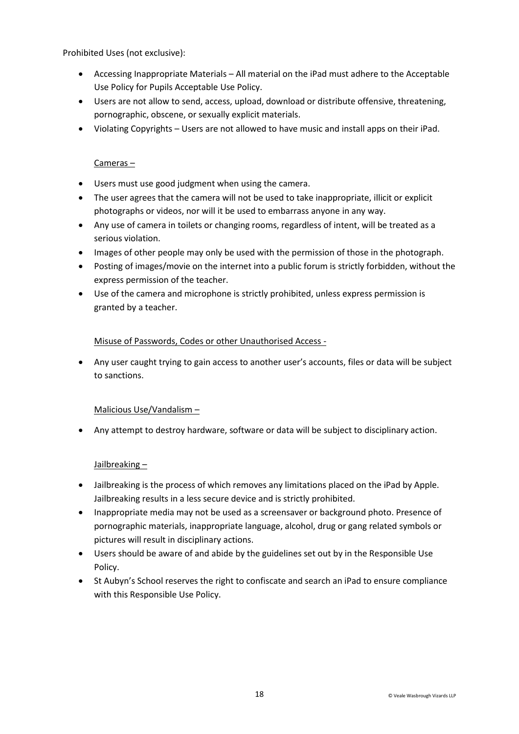Prohibited Uses (not exclusive):

- Accessing Inappropriate Materials All material on the iPad must adhere to the Acceptable Use Policy for Pupils Acceptable Use Policy.
- Users are not allow to send, access, upload, download or distribute offensive, threatening, pornographic, obscene, or sexually explicit materials.
- Violating Copyrights Users are not allowed to have music and install apps on their iPad.

## Cameras –

- Users must use good judgment when using the camera.
- The user agrees that the camera will not be used to take inappropriate, illicit or explicit photographs or videos, nor will it be used to embarrass anyone in any way.
- Any use of camera in toilets or changing rooms, regardless of intent, will be treated as a serious violation.
- Images of other people may only be used with the permission of those in the photograph.
- Posting of images/movie on the internet into a public forum is strictly forbidden, without the express permission of the teacher.
- Use of the camera and microphone is strictly prohibited, unless express permission is granted by a teacher.

## Misuse of Passwords, Codes or other Unauthorised Access -

 Any user caught trying to gain access to another user's accounts, files or data will be subject to sanctions.

## Malicious Use/Vandalism –

Any attempt to destroy hardware, software or data will be subject to disciplinary action.

## Jailbreaking –

- Jailbreaking is the process of which removes any limitations placed on the iPad by Apple. Jailbreaking results in a less secure device and is strictly prohibited.
- Inappropriate media may not be used as a screensaver or background photo. Presence of pornographic materials, inappropriate language, alcohol, drug or gang related symbols or pictures will result in disciplinary actions.
- Users should be aware of and abide by the guidelines set out by in the Responsible Use Policy.
- St Aubyn's School reserves the right to confiscate and search an iPad to ensure compliance with this Responsible Use Policy.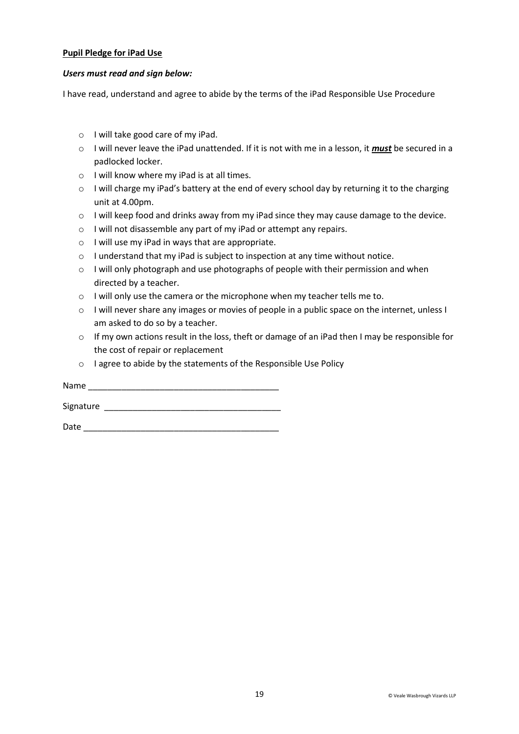#### **Pupil Pledge for iPad Use**

#### *Users must read and sign below:*

I have read, understand and agree to abide by the terms of the iPad Responsible Use Procedure

- o I will take good care of my iPad.
- o I will never leave the iPad unattended. If it is not with me in a lesson, it *must* be secured in a padlocked locker.
- o I will know where my iPad is at all times.
- o I will charge my iPad's battery at the end of every school day by returning it to the charging unit at 4.00pm.
- o I will keep food and drinks away from my iPad since they may cause damage to the device.
- o I will not disassemble any part of my iPad or attempt any repairs.
- o I will use my iPad in ways that are appropriate.
- o I understand that my iPad is subject to inspection at any time without notice.
- o I will only photograph and use photographs of people with their permission and when directed by a teacher.
- o I will only use the camera or the microphone when my teacher tells me to.
- o I will never share any images or movies of people in a public space on the internet, unless I am asked to do so by a teacher.
- $\circ$  If my own actions result in the loss, theft or damage of an iPad then I may be responsible for the cost of repair or replacement
- o I agree to abide by the statements of the Responsible Use Policy

Name \_\_\_\_\_\_\_\_\_\_\_\_\_\_\_\_\_\_\_\_\_\_\_\_\_\_\_\_\_\_\_\_\_\_\_\_\_\_\_\_ Signature  $\Box$ 

 $Date$   $\Box$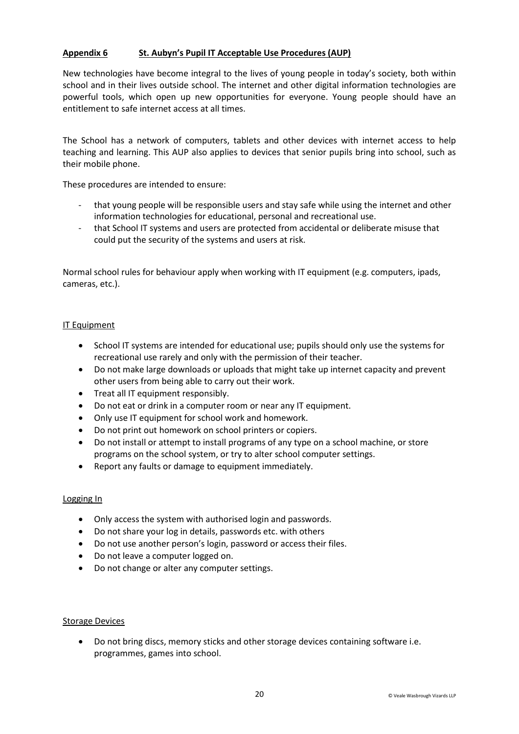## **Appendix 6 St. Aubyn's Pupil IT Acceptable Use Procedures (AUP)**

New technologies have become integral to the lives of young people in today's society, both within school and in their lives outside school. The internet and other digital information technologies are powerful tools, which open up new opportunities for everyone. Young people should have an entitlement to safe internet access at all times.

The School has a network of computers, tablets and other devices with internet access to help teaching and learning. This AUP also applies to devices that senior pupils bring into school, such as their mobile phone.

These procedures are intended to ensure:

- that young people will be responsible users and stay safe while using the internet and other information technologies for educational, personal and recreational use.
- that School IT systems and users are protected from accidental or deliberate misuse that could put the security of the systems and users at risk.

Normal school rules for behaviour apply when working with IT equipment (e.g. computers, ipads, cameras, etc.).

#### IT Equipment

- School IT systems are intended for educational use; pupils should only use the systems for recreational use rarely and only with the permission of their teacher.
- Do not make large downloads or uploads that might take up internet capacity and prevent other users from being able to carry out their work.
- Treat all IT equipment responsibly.
- Do not eat or drink in a computer room or near any IT equipment.
- Only use IT equipment for school work and homework.
- Do not print out homework on school printers or copiers.
- Do not install or attempt to install programs of any type on a school machine, or store programs on the school system, or try to alter school computer settings.
- Report any faults or damage to equipment immediately.

#### Logging In

- Only access the system with authorised login and passwords.
- Do not share your log in details, passwords etc. with others
- Do not use another person's login, password or access their files.
- Do not leave a computer logged on.
- Do not change or alter any computer settings.

#### **Storage Devices**

 Do not bring discs, memory sticks and other storage devices containing software i.e. programmes, games into school.